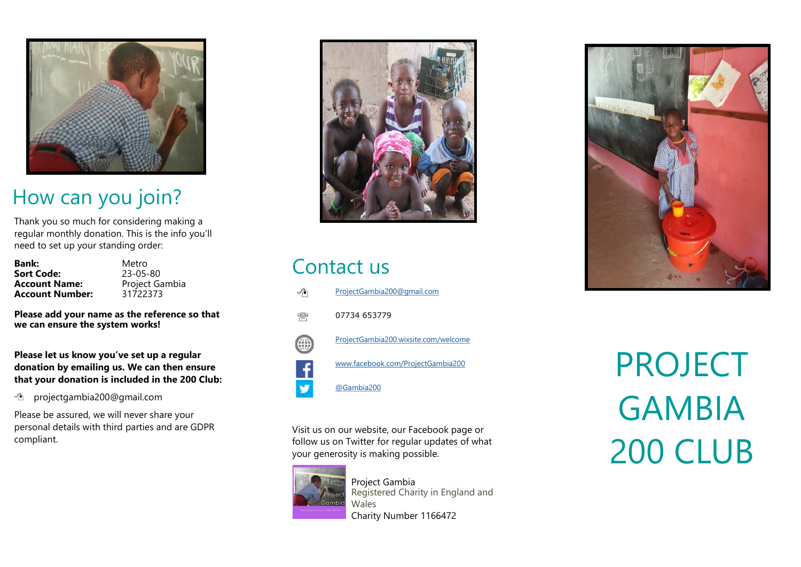

### How can you join?

Thank you so much for considering making a regular monthly donation. This is the info you 'll need to set up your standing order:

| <b>Bank:</b>           | Metro      |
|------------------------|------------|
| <b>Sort Code:</b>      | 23-05-80   |
| <b>Account Name:</b>   | Project Ga |
| <b>Account Number:</b> | 31722373   |

-80 rt Gambia

**Please add your name as the reference so that we can ensure the system works!**

**Please let us know you 've set up a regular donation by emailing us. We can then ensure that your donation is included in the 200 Club:**

[projectgambia200@gmail.com](mailto:neil@cornertolearn.co.uk)

Please be assured, we will never share your personal details with third parties and are GDPR compliant.



#### Contact us

| ✓∕г | ProjectGambia200@gmail.com           |
|-----|--------------------------------------|
|     | 07734 653779                         |
|     | ProjectGambia200.wixsite.com/welcome |
|     | www.facebook.com/ProjectGambia200    |

@Gambia200

Visit us on our website, our Facebook page or follow us on Twitter for regular updates of what your generosity is making possible.



Project Gambia Registered Charity in England and Wales Charity Number 1166472



PROJECT GAMBIA 200 CLUB